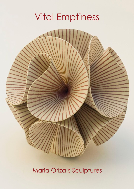## Vital Emptiness



María Oriza's Sculptures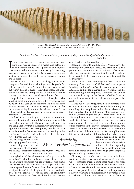

*Previous page: Flor Fractal. Stoneware with red and cobalt oxides. 32 x 32 x 32 cm. Above: Vacío Inagotable. Stoneware with iron oxide. 420 x 20 x 68 cm.*

*Emptiness is wide. Like the bird that spontaneously sings and is identified with the universe*. Chang-tzu

IN THE PRE-MODERN ERA, EVERYTHING ACHIEVED THROUGHOUT fire's tame was enclosed by a magic aura belonging to an alchemist nature. Fire is placed in an honoured position due to his allurement and capacity for terrifying n the pre-modern era, everything achieved throughout fire's tame was enclosed by a magic aura belonging to an alchemist nature. Fire is placed in an honoured (over earth, water and air) in the list of basic elements created by the ancient thinkers to explain universe creation and its order.

For Heraclitus, The Obscure, "All things are an interchange for fire and fire for all things, just like goods for gold and gold for goods."1 These interchanges are carried out within the global cycle of fire, which means the alternation between the disappearance of the whole cosmos blazing to be reborn and created again through fire.

Empedocles is another ancient philosopher who attached great importance to fire in his cosmogony and he believed that each one of the four basic elements have features of eternal and unalterable being, also they are the roots of everything. In addition, he believed cosmic forces of love and strife play as an engine to aggregate or disaggregate these elements.

In the Chinese cosmology the combining action of this love is able to transform multiplicity into a unity, so it is the vital breath caused by the empty space dividing yin and yang. Probably that is the reason why emptiness is so significant in María Oriza's sculptures, since her creative action is rooted in Taoist tradition and its meaning of the emptiness: "a man's heart could be the rule or the mir-

ror of himself and the world, thus breeding emptiness and identifying pivotal emptiness, human beings are placed at the beginning of the images

and shapes. Emptiness captures the rhythm, space and time and it controls the rule of transformation."<sup>2</sup>

A single drop of clay allows one to craft a glass, according to Lao-Tzu, but the empty space makes the glass useful. In Oriza's sculptures, we can appreciate this subtle play between the physical identity of an object with a concrete shape and its true function throughout emptiness: it is not just its 'use', it is to delight with a concrete aesthetic created by the artist. Moreover, this play is an attempt by the artist to understand the world through artistic creation

as well as the emptiness within.

Regarding Eduardo Chillida, Ángel Valente says that enclosing full emptiness "places the artist and us in a point where creation is achieved and in its achievement, what has been created, fades so that the world continues to be possible, that is to say, to perpetuate the possibility of creativity".3

Furthermore, Martin Heiddegger reflected about the meaning of emptiness in Chillidas' works and explains "creating emptiness" is to "create freedom, openness to a settlement and life for a human being".4 This means that understanding of the emptiness is required, not only as an amplified concept of the shapes crafted by Oriza but also as the environment where she acts and expands her creative spirit.

Maybe her work of art *Spline* is the best example of her creative genius as it is perpetuated endlessly throughout the filling of an emptiness defined by a helicoidal ring that reminds a little bit of the one of Möibus, since it is an endless shape rolling up and over itself like twisted yarn, allowing the remaining space to be infinite. In a way, the work of art *Spline* is conceived to serve as metaphor to the physical concept of the endless screw, without running out of substance in the universe sidereal emptiness. *Vacio Inagotable* (endless emptiness) is based on the idea of the endless extent of the universe, not like the application of this magic 'trick' achieved throughout the curl of a screw

> rolling over itself but as the creation of a stage of an endless emptiness whose axis is a linear direction, expanding the creative breath and whose

rhythm is created by a number of rings, crafted regularly spaced as if they were vertebrae.

Obviously, this vertebral structure is an invitation to see inner emptiness as a central axis of creative breathe, whose expansion means adding more rings to the work of art, one after another, endlessly. *Hitos* is composed of a 'vertebral' association. Its structure, however, reminds one of two parallel chains, whose vertical expansion is achieved following a juxtapositioned axis perpendicular to each one of the marrow axes of the links. This work

## *Article by Michel Hubert Lépicouché*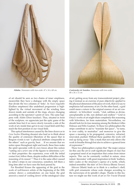

of art should be seen as two chains of inner emptiness, meanwhile they have a dialogue with the empty space that divide the two columns of 'links'. In *Vacío inagotable* (Endless emptiness) this undefined progression is highlighted by the virtual movement of the winding lines drawn inside and outside of the rings, always changing according to the spectator's point of view. The same happens with *Aldaba* (Door knocker). Thus, situated in front of the sculpture, we appreciate just the optic game of the outside lines but if we move slowly towards a side of the work of art, inside lines get in to our visual field until they reach the first position in our visual field.

This optical interference caused by the lines drawn as in *Caza Sueños* (Hunting dreams) also lead us to think about the quality of extension (therefore of the space) that in Bergson words is not "a physical attribute comparable to the others" such as gravity, heat. . . If we assume that we notice space throughout sight and touch, these lines make the spirit speculate with its own forces about this notion "cutting out *a priori* one of the figures to determine *a priori* their properties: the experience, even with the initial contact lost, follow them, despite endless difficulties of the reasoning of its reason".5 Thus it is the same effect caused by zebra's strips in our conscience, somehow, left there a long time after we have seen the herd passed by.

For Rosalind Krauss the appearing of the grid in the work of well-known artists of the beginning of the 20th century shows a contradiction: on one hand, the grid answers a need of 'cooling down' of the ontological value



*Aldaba. Stoneware with iron oxide. 47 x 16 x 68 cm. Contenedor de Sonidos. Stoneware with iron oxide. 40 x 26 x 72 cm.*

of art, getting away from any transcendental project, placing it instead as an exercise of pure objectivity applied to the physical dimension of the piece of work, that is to say to emphasize full autonomy of art. On the other hand, a grid could mean a return to the original essence of an art considered – in Schwitters' words, "vital, sublime as divine, unexplainable as life, non defined and endless".<sup>6</sup> Grid in Oriza's works of art might share completely this reasoning with Schwitters, far from materialism. Nevertheless, we should look for its true meaning among the thinkers Gilles Deleuze and Félix Guattari. To these two philosophers the strips contribute to aid to "translate flat space", "to tame, to over codify, to neutralize" and moreover to give the space a meaning to be propagated, extensive, refracted, renovated, pushed. Without these qualities the work will end up dying away: "like a mask that not only allows the work to breathe through but also to achieve a general form of expression."7

These two philosophers explain that "the major science (in this case the art to craft significant shapes of clay) has a perpetual need of an inspiration that comes from minor aspects. This can be constantly verified in nature, since nature 'decorates' with great inspiration in birds' feathers, fish's scales or the structure's caprice of a turtle, which, indeed resembles 'the skin' of *Torre Biónica* (Bionic Tower).

*Máscara* (Mask) leads us to think in a mollusc's shell, with grid ornaments whose scale changes according to the narrowness of its spindle's shape. Thanks to this feature we might see this work of art or *Flor Fractal* (Fractal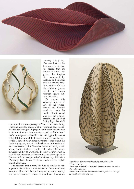



Flower), *Gea* (Gaia), *Eolo* (Aeolus), as the best ones to disclose the secrets that are hidden in strips and grids: the inspiration mentioned by Deleuze and Guattari that it is just the artistic capability of Oriza that adds the dynamics to her shapes through light's capture in its skin.

Of course, this capacity depends at first on the properties of the material used to create the works of art. Wood and glass are at opposite poles in the art of luring light. We shall

remember the famous passage of Maurice Merleau- Ponty where he takes the example of a swimming pool to analyse the sun's magical light game and water and the way it distorts all of the lines creating a grid at the bottom.<sup>8</sup> In Oriza sculptures, distortion does not appear by means of light diffraction while it crosses a watery lens but distortion is caused by an exact curvature of shapes and the fracturing spaces, a result of the changes in directions at each intersection point. The achievement of this hypnotic and dynamic effect is a sample of the refined technique of Oriza's ability to transform the unity of thin walls in flesh-like shapes such as the commissure of the lips as in *Contenedor de Sonidos* (Sounds Container), *Caja de Pandora* (Pandora's box), *Pluma* (Feather) which reveals explicit sexual references.

It is apparent that a name like *Caja de Pandora* is subjugated deliberately in a will to insist in these references, since the libido could be considered as more of a mystery box that unleashes everything good and bad of mankind.



*Top: Pluma. Stoneware with red slip and cobalt oxide. 29 x 65 x 16 cm.*

*Above left: Montaña Artificial. Stoneware with chromium slip and cobalt oxide.*

*Above: Torre Biónica. Stoneware with iron, cobalt and manganese oxides. 35 x 35 x 70 cm.*